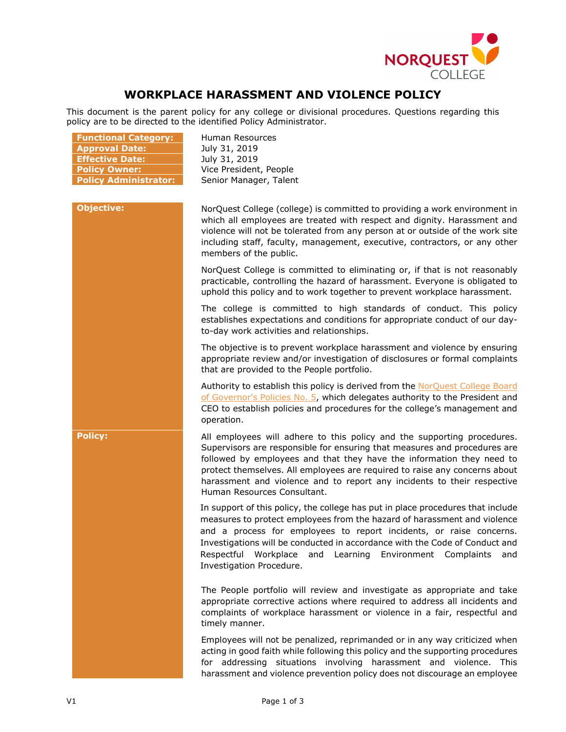

## **WORKPLACE HARASSMENT AND VIOLENCE POLICY**

This document is the parent policy for any college or divisional procedures. Questions regarding this policy are to be directed to the identified Policy Administrator.

| <b>Functional Category:</b><br><b>Approval Date:</b><br><b>Effective Date:</b><br><b>Policy Owner:</b><br><b>Policy Administrator:</b> | Human Resources<br>July 31, 2019<br>July 31, 2019<br>Vice President, People<br>Senior Manager, Talent                                                                                                                                                                                                                                                                                                                 |
|----------------------------------------------------------------------------------------------------------------------------------------|-----------------------------------------------------------------------------------------------------------------------------------------------------------------------------------------------------------------------------------------------------------------------------------------------------------------------------------------------------------------------------------------------------------------------|
| <b>Objective:</b>                                                                                                                      | NorQuest College (college) is committed to providing a work environment in<br>which all employees are treated with respect and dignity. Harassment and<br>violence will not be tolerated from any person at or outside of the work site<br>including staff, faculty, management, executive, contractors, or any other<br>members of the public.                                                                       |
|                                                                                                                                        | NorQuest College is committed to eliminating or, if that is not reasonably<br>practicable, controlling the hazard of harassment. Everyone is obligated to<br>uphold this policy and to work together to prevent workplace harassment.                                                                                                                                                                                 |
|                                                                                                                                        | The college is committed to high standards of conduct. This policy<br>establishes expectations and conditions for appropriate conduct of our day-<br>to-day work activities and relationships.                                                                                                                                                                                                                        |
|                                                                                                                                        | The objective is to prevent workplace harassment and violence by ensuring<br>appropriate review and/or investigation of disclosures or formal complaints<br>that are provided to the People portfolio.                                                                                                                                                                                                                |
|                                                                                                                                        | Authority to establish this policy is derived from the NorQuest College Board<br>of Governor's Policies No. 5, which delegates authority to the President and<br>CEO to establish policies and procedures for the college's management and<br>operation.                                                                                                                                                              |
| <b>Policy:</b>                                                                                                                         | All employees will adhere to this policy and the supporting procedures.<br>Supervisors are responsible for ensuring that measures and procedures are<br>followed by employees and that they have the information they need to<br>protect themselves. All employees are required to raise any concerns about<br>harassment and violence and to report any incidents to their respective<br>Human Resources Consultant. |
|                                                                                                                                        | In support of this policy, the college has put in place procedures that include<br>measures to protect employees from the hazard of harassment and violence<br>and a process for employees to report incidents, or raise concerns.<br>Investigations will be conducted in accordance with the Code of Conduct and<br>Respectful Workplace and Learning Environment Complaints<br>and<br>Investigation Procedure.      |
|                                                                                                                                        | The People portfolio will review and investigate as appropriate and take<br>appropriate corrective actions where required to address all incidents and<br>complaints of workplace harassment or violence in a fair, respectful and<br>timely manner.                                                                                                                                                                  |
|                                                                                                                                        | Employees will not be penalized, reprimanded or in any way criticized when<br>acting in good faith while following this policy and the supporting procedures<br>for addressing situations involving harassment and violence. This<br>harassment and violence prevention policy does not discourage an employee                                                                                                        |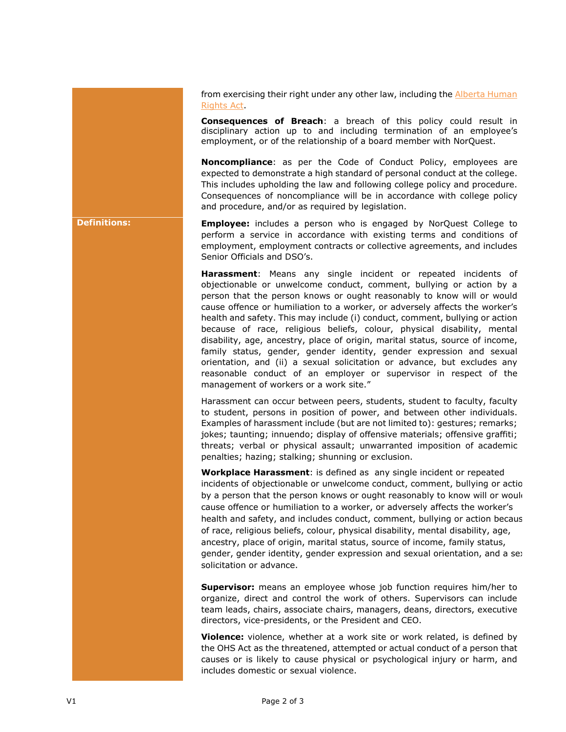from exercising their right under any other law, including the [Alberta Human](http://www.qp.alberta.ca/documents/Acts/A25P5.pdf)  [Rights Act.](http://www.qp.alberta.ca/documents/Acts/A25P5.pdf)

**Consequences of Breach**: a breach of this policy could result in disciplinary action up to and including termination of an employee's employment, or of the relationship of a board member with NorQuest.

**Noncompliance**: as per the Code of Conduct Policy, employees are expected to demonstrate a high standard of personal conduct at the college. This includes upholding the law and following college policy and procedure. Consequences of noncompliance will be in accordance with college policy and procedure, and/or as required by legislation.

**Definitions: Employee:** includes a person who is engaged by NorQuest College to perform a service in accordance with existing terms and conditions of employment, employment contracts or collective agreements, and includes Senior Officials and DSO's.

> **Harassment**: Means any single incident or repeated incidents of objectionable or unwelcome conduct, comment, bullying or action by a person that the person knows or ought reasonably to know will or would cause offence or humiliation to a worker, or adversely affects the worker's health and safety. This may include (i) conduct, comment, bullying or action because of race, religious beliefs, colour, physical disability, mental disability, age, ancestry, place of origin, marital status, source of income, family status, gender, gender identity, gender expression and sexual orientation, and (ii) a sexual solicitation or advance, but excludes any reasonable conduct of an employer or supervisor in respect of the management of workers or a work site."

> Harassment can occur between peers, students, student to faculty, faculty to student, persons in position of power, and between other individuals. Examples of harassment include (but are not limited to): gestures; remarks; jokes; taunting; innuendo; display of offensive materials; offensive graffiti; threats; verbal or physical assault; unwarranted imposition of academic penalties; hazing; stalking; shunning or exclusion.

**Workplace Harassment**: is defined as any single incident or repeated incidents of objectionable or unwelcome conduct, comment, bullying or actio by a person that the person knows or ought reasonably to know will or would cause offence or humiliation to a worker, or adversely affects the worker's health and safety, and includes conduct, comment, bullying or action becaus of race, religious beliefs, colour, physical disability, mental disability, age, ancestry, place of origin, marital status, source of income, family status, gender, gender identity, gender expression and sexual orientation, and a sexsolicitation or advance.

**Supervisor:** means an employee whose job function requires him/her to organize, direct and control the work of others. Supervisors can include team leads, chairs, associate chairs, managers, deans, directors, executive directors, vice-presidents, or the President and CEO.

**Violence:** violence, whether at a work site or work related, is defined by the OHS Act as the threatened, attempted or actual conduct of a person that causes or is likely to cause physical or psychological injury or harm, and includes domestic or sexual violence.